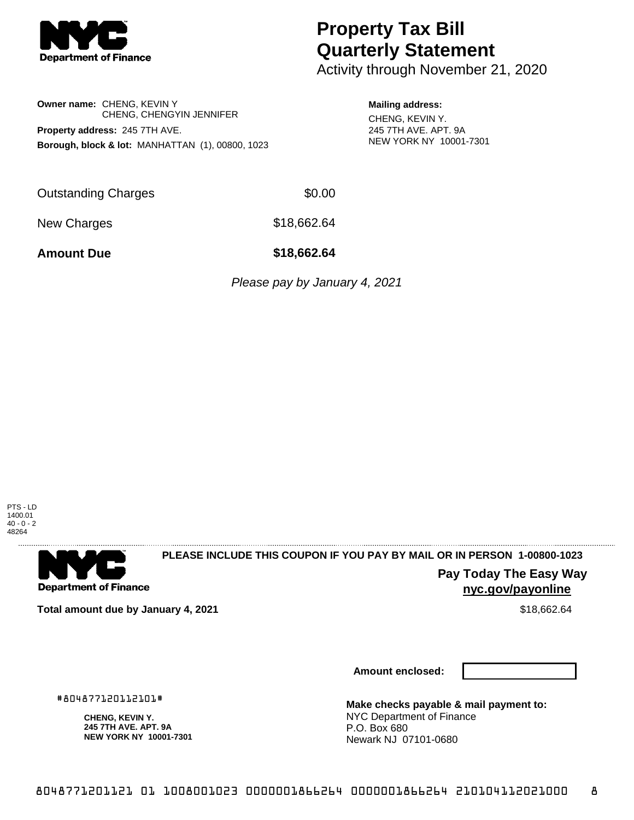

# **Property Tax Bill Quarterly Statement**

Activity through November 21, 2020

**Owner name:** CHENG, KEVIN Y CHENG, CHENGYIN JENNIFER **Property address:** 245 7TH AVE. **Borough, block & lot:** MANHATTAN (1), 00800, 1023

#### **Mailing address:**

CHENG, KEVIN Y. 245 7TH AVE. APT. 9A NEW YORK NY 10001-7301

Outstanding Charges \$0.00

New Charges \$18,662.64

**Amount Due \$18,662.64**

Please pay by January 4, 2021





## **PLEASE INCLUDE THIS COUPON IF YOU PAY BY MAIL OR IN PERSON 1-00800-1023**

**Pay Today The Easy Way nyc.gov/payonline**

**Total amount due by January 4, 2021**  $\bullet$  **18,062.64**  $\bullet$  **\$18,662.64** 

#804877120112101#

**CHENG, KEVIN Y. 245 7TH AVE. APT. 9A NEW YORK NY 10001-7301**

**Amount enclosed:**

**Make checks payable & mail payment to:** NYC Department of Finance P.O. Box 680 Newark NJ 07101-0680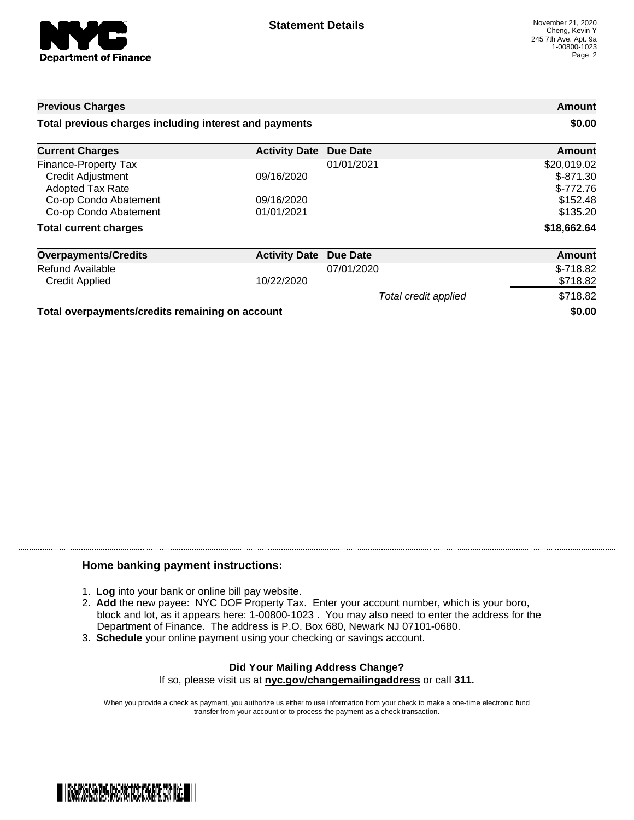

| <b>Previous Charges</b><br>Total previous charges including interest and payments |                      |                      | Amount<br>\$0.00 |
|-----------------------------------------------------------------------------------|----------------------|----------------------|------------------|
|                                                                                   |                      |                      |                  |
| <b>Finance-Property Tax</b>                                                       |                      | 01/01/2021           | \$20,019.02      |
| <b>Credit Adjustment</b>                                                          | 09/16/2020           |                      | $$-871.30$       |
| Adopted Tax Rate                                                                  |                      |                      | $$-772.76$       |
| Co-op Condo Abatement                                                             | 09/16/2020           |                      | \$152.48         |
| Co-op Condo Abatement                                                             | 01/01/2021           |                      | \$135.20         |
| <b>Total current charges</b>                                                      |                      |                      | \$18,662.64      |
| <b>Overpayments/Credits</b>                                                       | <b>Activity Date</b> | Due Date             | Amount           |
| Refund Available                                                                  |                      | 07/01/2020           | $$-718.82$       |
| <b>Credit Applied</b>                                                             | 10/22/2020           |                      | \$718.82         |
|                                                                                   |                      | Total credit applied | \$718.82         |
| Total overpayments/credits remaining on account                                   |                      | \$0.00               |                  |

### **Home banking payment instructions:**

- 1. **Log** into your bank or online bill pay website.
- 2. **Add** the new payee: NYC DOF Property Tax. Enter your account number, which is your boro, block and lot, as it appears here: 1-00800-1023 . You may also need to enter the address for the Department of Finance. The address is P.O. Box 680, Newark NJ 07101-0680.
- 3. **Schedule** your online payment using your checking or savings account.

### **Did Your Mailing Address Change?** If so, please visit us at **nyc.gov/changemailingaddress** or call **311.**

When you provide a check as payment, you authorize us either to use information from your check to make a one-time electronic fund transfer from your account or to process the payment as a check transaction.